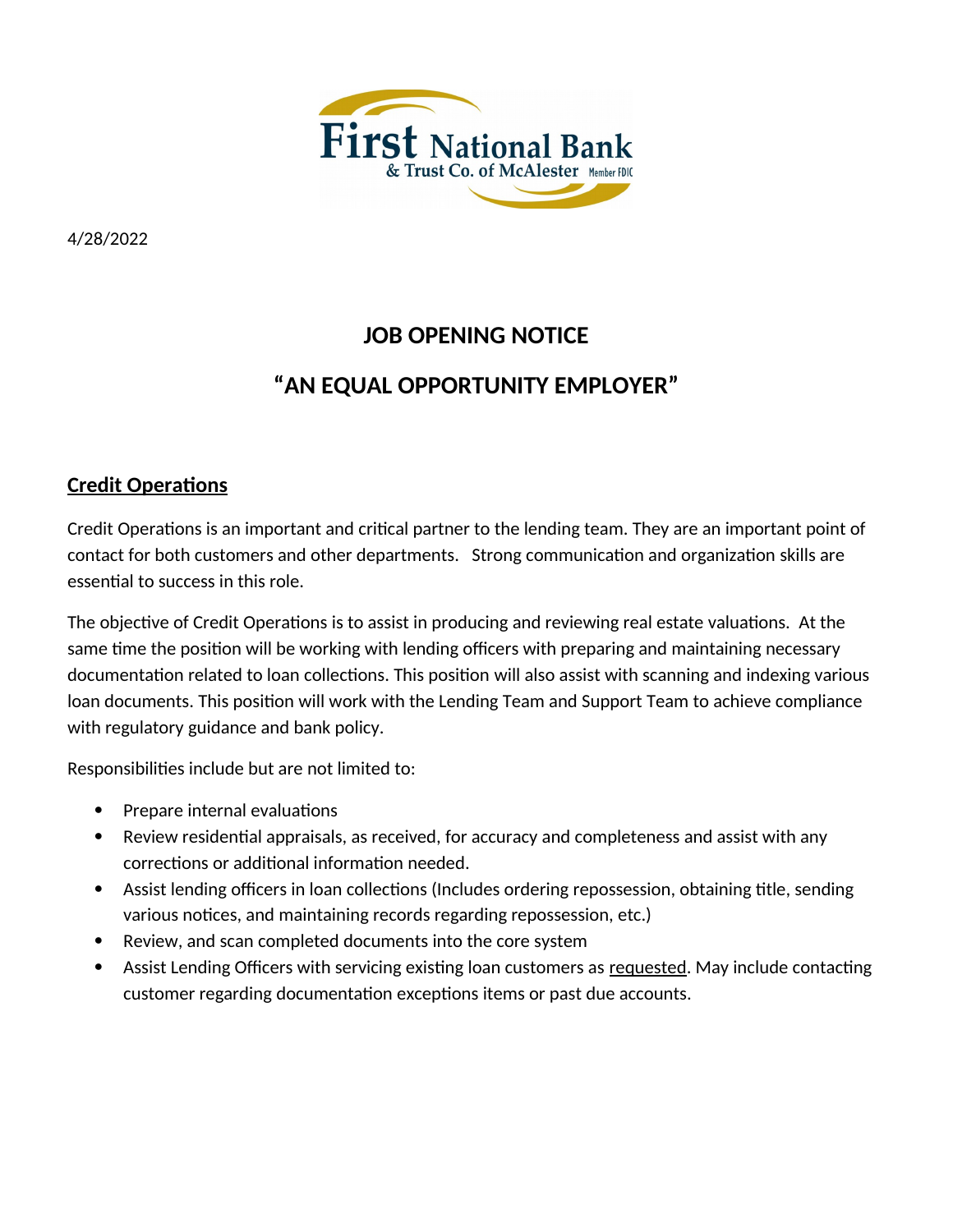

4/28/2022

## **JOB OPENING NOTICE**

# **"AN EQUAL OPPORTUNITY EMPLOYER"**

### **Credit Operations**

Credit Operations is an important and critical partner to the lending team. They are an important point of contact for both customers and other departments. Strong communication and organization skills are essential to success in this role.

The objective of Credit Operations is to assist in producing and reviewing real estate valuations. At the same time the position will be working with lending officers with preparing and maintaining necessary documentation related to loan collections. This position will also assist with scanning and indexing various loan documents. This position will work with the Lending Team and Support Team to achieve compliance with regulatory guidance and bank policy.

Responsibilities include but are not limited to:

- Prepare internal evaluations
- Review residential appraisals, as received, for accuracy and completeness and assist with any corrections or additional information needed.
- Assist lending officers in loan collections (Includes ordering repossession, obtaining title, sending various notices, and maintaining records regarding repossession, etc.)
- Review, and scan completed documents into the core system
- Assist Lending Officers with servicing existing loan customers as requested. May include contacting customer regarding documentation exceptions items or past due accounts.